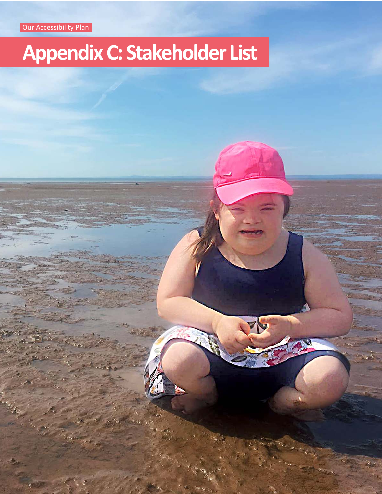Our Accessibility Plan

## **Appendix C: Stakeholder List**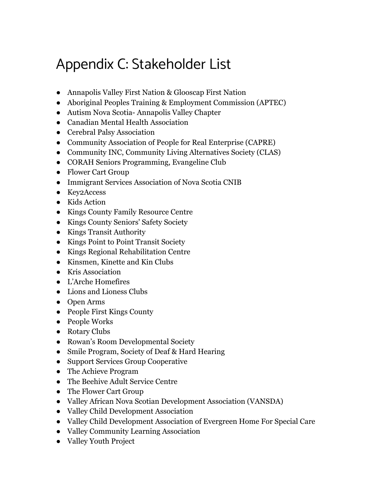## Appendix C: Stakeholder List

- Annapolis Valley First Nation & Glooscap First Nation
- Aboriginal Peoples Training & Employment Commission (APTEC)
- Autism Nova Scotia- Annapolis Valley Chapter
- Canadian Mental Health Association
- Cerebral Palsy Association
- Community Association of People for Real Enterprise (CAPRE)
- Community INC, Community Living Alternatives Society (CLAS)
- CORAH Seniors Programming, Evangeline Club
- Flower Cart Group
- Immigrant Services Association of Nova Scotia CNIB
- Key2Access
- Kids Action
- Kings County Family Resource Centre
- Kings County Seniors' Safety Society
- Kings Transit Authority
- Kings Point to Point Transit Society
- Kings Regional Rehabilitation Centre
- Kinsmen, Kinette and Kin Clubs
- Kris Association
- L'Arche Homefires
- Lions and Lioness Clubs
- Open Arms
- People First Kings County
- People Works
- Rotary Clubs
- Rowan's Room Developmental Society
- Smile Program, Society of Deaf & Hard Hearing
- Support Services Group Cooperative
- The Achieve Program
- The Beehive Adult Service Centre
- The Flower Cart Group
- Valley African Nova Scotian Development Association (VANSDA)
- Valley Child Development Association
- Valley Child Development Association of Evergreen Home For Special Care
- Valley Community Learning Association
- Valley Youth Project